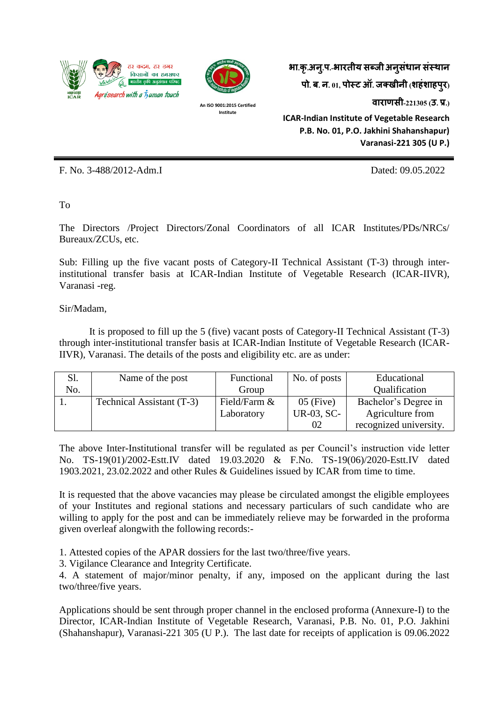



**An ISO 9001:2015 Certified Institute**

**भा.कृ.अन.ुप.-भारतीय सब्जी अनसु धं ान संस्थान पो. ब. न. 01, पोस्ट ऑ. जक्खीनी (शहंशाहपरु) वाराणसी-221305 (उ. प्र.) ICAR-Indian Institute of Vegetable Research P.B. No. 01, P.O. Jakhini Shahanshapur) Varanasi-221 305 (U P.)**

F. No. 3-488/2012-Adm.I Dated: 09.05.2022

To

The Directors /Project Directors/Zonal Coordinators of all ICAR Institutes/PDs/NRCs/ Bureaux/ZCUs, etc.

Sub: Filling up the five vacant posts of Category-II Technical Assistant (T-3) through interinstitutional transfer basis at ICAR-Indian Institute of Vegetable Research (ICAR-IIVR), Varanasi -reg.

Sir/Madam,

It is proposed to fill up the 5 (five) vacant posts of Category-II Technical Assistant (T-3) through inter-institutional transfer basis at ICAR-Indian Institute of Vegetable Research (ICAR-IIVR), Varanasi. The details of the posts and eligibility etc. are as under:

| Sl. | Name of the post          | Functional   | No. of posts | Educational            |  |
|-----|---------------------------|--------------|--------------|------------------------|--|
| No. |                           | Group        |              | Qualification          |  |
|     | Technical Assistant (T-3) | Field/Farm & | $05$ (Five)  | Bachelor's Degree in   |  |
|     |                           | Laboratory   | UR-03, SC-   | Agriculture from       |  |
|     |                           |              | 02           | recognized university. |  |

The above Inter-Institutional transfer will be regulated as per Council's instruction vide letter No. TS-19(01)/2002-Estt.IV dated 19.03.2020 & F.No. TS-19(06)/2020-Estt.IV dated 1903.2021, 23.02.2022 and other Rules & Guidelines issued by ICAR from time to time.

It is requested that the above vacancies may please be circulated amongst the eligible employees of your Institutes and regional stations and necessary particulars of such candidate who are willing to apply for the post and can be immediately relieve may be forwarded in the proforma given overleaf alongwith the following records:-

1. Attested copies of the APAR dossiers for the last two/three/five years.

3. Vigilance Clearance and Integrity Certificate.

4. A statement of major/minor penalty, if any, imposed on the applicant during the last two/three/five years.

Applications should be sent through proper channel in the enclosed proforma (Annexure-I) to the Director, ICAR-Indian Institute of Vegetable Research, Varanasi, P.B. No. 01, P.O. Jakhini (Shahanshapur), Varanasi-221 305 (U P.). The last date for receipts of application is 09.06.2022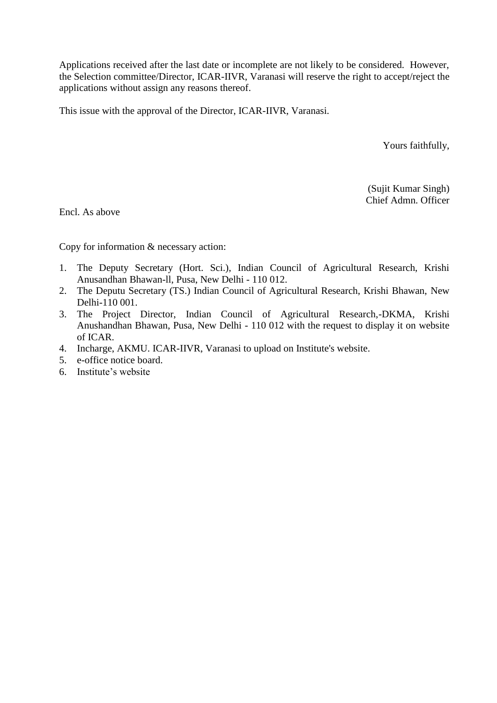Applications received after the last date or incomplete are not likely to be considered. However, the Selection committee/Director, ICAR-IIVR, Varanasi will reserve the right to accept/reject the applications without assign any reasons thereof.

This issue with the approval of the Director, ICAR-IIVR, Varanasi.

Yours faithfully,

(Sujit Kumar Singh) Chief Admn. Officer

Encl. As above

Copy for information & necessary action:

- 1. The Deputy Secretary (Hort. Sci.), Indian Council of Agricultural Research, Krishi Anusandhan Bhawan-ll, Pusa, New Delhi - 110 012.
- 2. The Deputu Secretary (TS.) Indian Council of Agricultural Research, Krishi Bhawan, New Delhi-110 001.
- 3. The Project Director, Indian Council of Agricultural Research,-DKMA, Krishi Anushandhan Bhawan, Pusa, New Delhi - 110 012 with the request to display it on website of ICAR.
- 4. Incharge, AKMU. ICAR-IIVR, Varanasi to upload on Institute's website.
- 5. e-office notice board.
- 6. Institute's website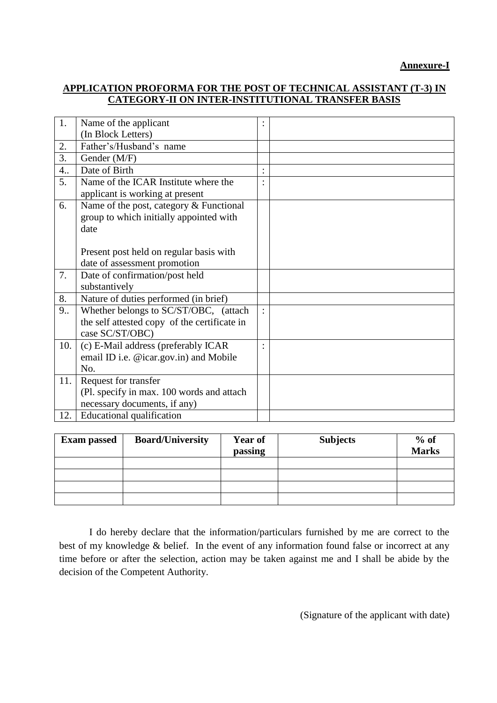## **APPLICATION PROFORMA FOR THE POST OF TECHNICAL ASSISTANT (T-3) IN CATEGORY-II ON INTER-INSTITUTIONAL TRANSFER BASIS**

| Gender (M/F)                                 |                                                                                                                                                  |  |
|----------------------------------------------|--------------------------------------------------------------------------------------------------------------------------------------------------|--|
| Date of Birth                                |                                                                                                                                                  |  |
| Name of the ICAR Institute where the         |                                                                                                                                                  |  |
| applicant is working at present              |                                                                                                                                                  |  |
| Name of the post, category & Functional      |                                                                                                                                                  |  |
| group to which initially appointed with      |                                                                                                                                                  |  |
| date                                         |                                                                                                                                                  |  |
|                                              |                                                                                                                                                  |  |
| Present post held on regular basis with      |                                                                                                                                                  |  |
|                                              |                                                                                                                                                  |  |
| Date of confirmation/post held               |                                                                                                                                                  |  |
| substantively                                |                                                                                                                                                  |  |
| Nature of duties performed (in brief)        |                                                                                                                                                  |  |
| Whether belongs to SC/ST/OBC, (attach        |                                                                                                                                                  |  |
| the self attested copy of the certificate in |                                                                                                                                                  |  |
| case SC/ST/OBC)                              |                                                                                                                                                  |  |
| (c) E-Mail address (preferably ICAR          |                                                                                                                                                  |  |
|                                              |                                                                                                                                                  |  |
| No.                                          |                                                                                                                                                  |  |
| Request for transfer                         |                                                                                                                                                  |  |
| (Pl. specify in max. 100 words and attach    |                                                                                                                                                  |  |
| necessary documents, if any)                 |                                                                                                                                                  |  |
| <b>Educational qualification</b>             |                                                                                                                                                  |  |
|                                              | Name of the applicant<br>(In Block Letters)<br>Father's/Husband's name<br>date of assessment promotion<br>email ID i.e. @icar.gov.in) and Mobile |  |

| <b>Exam passed</b> | <b>Board/University</b> | <b>Year of</b><br>passing | <b>Subjects</b> | $%$ of<br><b>Marks</b> |
|--------------------|-------------------------|---------------------------|-----------------|------------------------|
|                    |                         |                           |                 |                        |
|                    |                         |                           |                 |                        |
|                    |                         |                           |                 |                        |
|                    |                         |                           |                 |                        |

I do hereby declare that the information/particulars furnished by me are correct to the best of my knowledge & belief. In the event of any information found false or incorrect at any time before or after the selection, action may be taken against me and I shall be abide by the decision of the Competent Authority.

(Signature of the applicant with date)